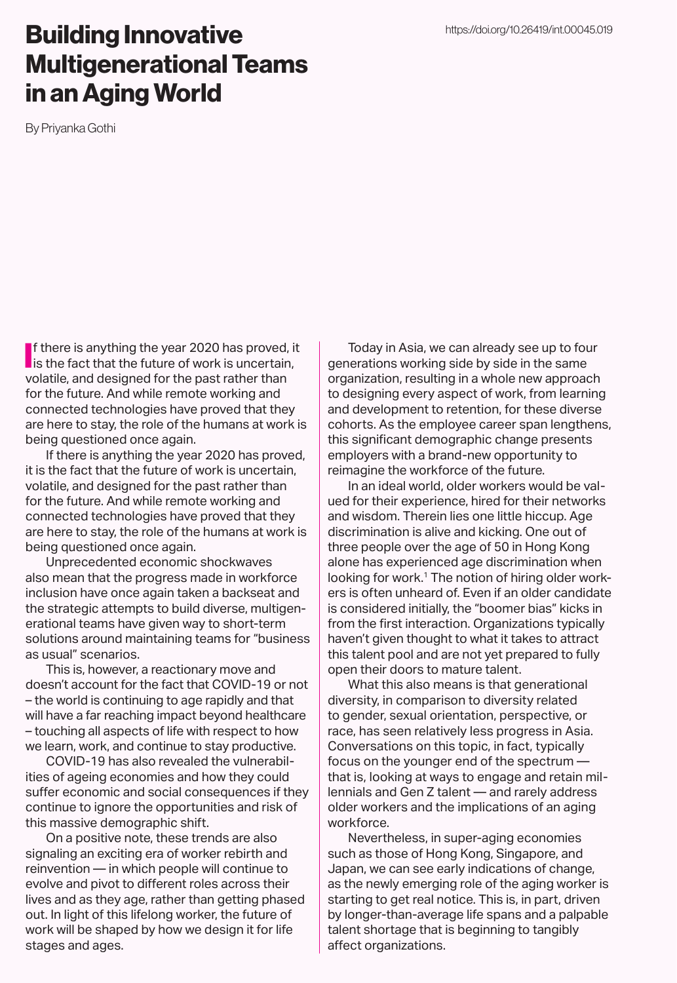### Building Innovative Multigenerational Teams in an Aging World

By Priyanka Gothi

If there is anything the year 2020 has proved, it<br>is the fact that the future of work is uncertain, Is the fact that the future of work is uncertain, volatile, and designed for the past rather than for the future. And while remote working and connected technologies have proved that they are here to stay, the role of the humans at work is being questioned once again.

If there is anything the year 2020 has proved, it is the fact that the future of work is uncertain, volatile, and designed for the past rather than for the future. And while remote working and connected technologies have proved that they are here to stay, the role of the humans at work is being questioned once again.

Unprecedented economic shockwaves also mean that the progress made in workforce inclusion have once again taken a backseat and the strategic attempts to build diverse, multigenerational teams have given way to short-term solutions around maintaining teams for "business as usual" scenarios.

This is, however, a reactionary move and doesn't account for the fact that COVID-19 or not – the world is continuing to age rapidly and that will have a far reaching impact beyond healthcare – touching all aspects of life with respect to how we learn, work, and continue to stay productive.

COVID-19 has also revealed the vulnerabilities of ageing economies and how they could suffer economic and social consequences if they continue to ignore the opportunities and risk of this massive demographic shift.

On a positive note, these trends are also signaling an exciting era of worker rebirth and reinvention — in which people will continue to evolve and pivot to different roles across their lives and as they age, rather than getting phased out. In light of this lifelong worker, the future of work will be shaped by how we design it for life stages and ages.

Today in Asia, we can already see up to four generations working side by side in the same organization, resulting in a whole new approach to designing every aspect of work, from learning and development to retention, for these diverse cohorts. As the employee career span lengthens, this significant demographic change presents employers with a brand-new opportunity to reimagine the workforce of the future.

In an ideal world, older workers would be valued for their experience, hired for their networks and wisdom. Therein lies one little hiccup. Age discrimination is alive and kicking. One out of three people over the age of 50 in Hong Kong alone has experienced age discrimination when looking for work.<sup>1</sup> The notion of hiring older workers is often unheard of. Even if an older candidate is considered initially, the "boomer bias" kicks in from the first interaction. Organizations typically haven't given thought to what it takes to attract this talent pool and are not yet prepared to fully open their doors to mature talent.

What this also means is that generational diversity, in comparison to diversity related to gender, sexual orientation, perspective, or race, has seen relatively less progress in Asia. Conversations on this topic, in fact, typically focus on the younger end of the spectrum that is, looking at ways to engage and retain millennials and Gen Z talent — and rarely address older workers and the implications of an aging workforce.

Nevertheless, in super-aging economies such as those of Hong Kong, Singapore, and Japan, we can see early indications of change, as the newly emerging role of the aging worker is starting to get real notice. This is, in part, driven by longer-than-average life spans and a palpable talent shortage that is beginning to tangibly affect organizations.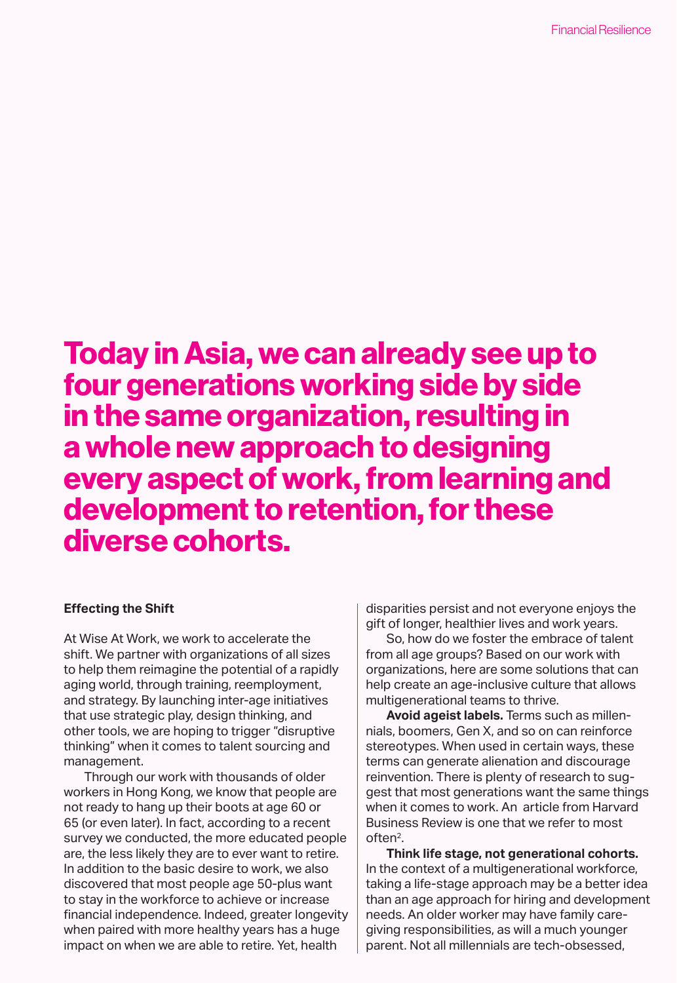## Today in Asia, we can already see up to four generations working side by side in the same organization, resulting in a whole new approach to designing every aspect of work, from learning and development to retention, for these diverse cohorts.

#### **Effecting the Shift**

At Wise At Work, we work to accelerate the shift. We partner with organizations of all sizes to help them reimagine the potential of a rapidly aging world, through training, reemployment, and strategy. By launching inter-age initiatives that use strategic play, design thinking, and other tools, we are hoping to trigger "disruptive thinking" when it comes to talent sourcing and management.

Through our work with thousands of older workers in Hong Kong, we know that people are not ready to hang up their boots at age 60 or 65 (or even later). In fact, according to a recent survey we conducted, the more educated people are, the less likely they are to ever want to retire. In addition to the basic desire to work, we also discovered that most people age 50-plus want to stay in the workforce to achieve or increase financial independence. Indeed, greater longevity when paired with more healthy years has a huge impact on when we are able to retire. Yet, health

disparities persist and not everyone enjoys the gift of longer, healthier lives and work years.

So, how do we foster the embrace of talent from all age groups? Based on our work with organizations, here are some solutions that can help create an age-inclusive culture that allows multigenerational teams to thrive.

**Avoid ageist labels.** Terms such as millennials, boomers, Gen X, and so on can reinforce stereotypes. When used in certain ways, these terms can generate alienation and discourage reinvention. There is plenty of research to suggest that most generations want the same things when it comes to work. An article from Harvard Business Review is one that we refer to most often2.

**Think life stage, not generational cohorts.**  In the context of a multigenerational workforce, taking a life-stage approach may be a better idea than an age approach for hiring and development needs. An older worker may have family caregiving responsibilities, as will a much younger parent. Not all millennials are tech-obsessed,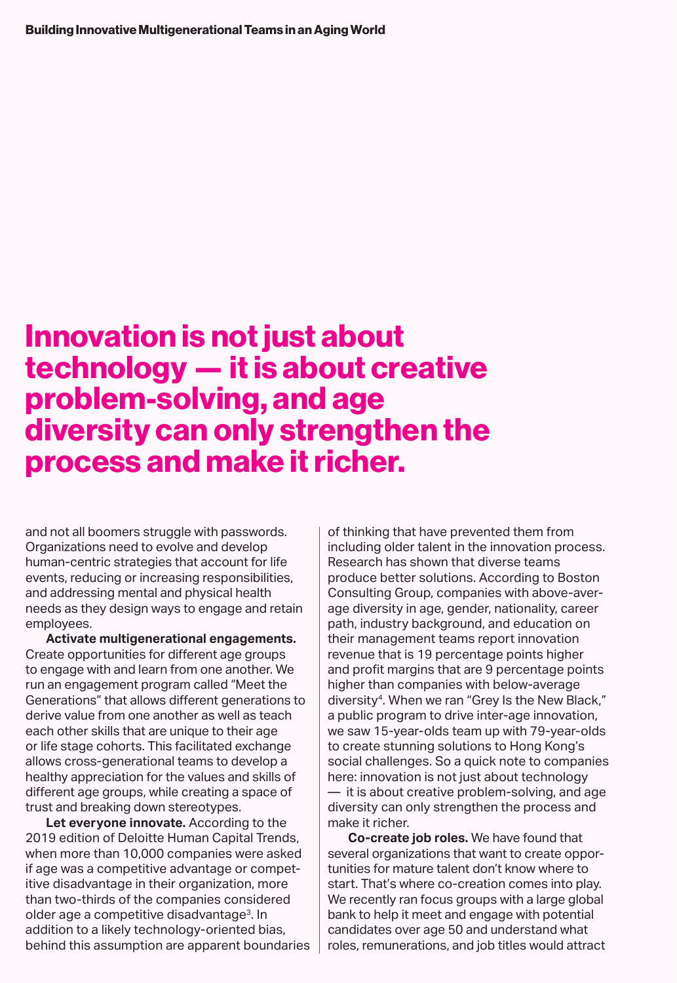# Innovation is not just about technology — it is about creative problem-solving, and age diversity can only strengthen the process and make it richer.

and not all boomers struggle with passwords. Organizations need to evolve and develop human-centric strategies that account for life events, reducing or increasing responsibilities, and addressing mental and physical health needs as they design ways to engage and retain employees.

**Activate multigenerational engagements.**  Create opportunities for different age groups to engage with and learn from one another. We run an engagement program called "Meet the Generations" that allows different generations to derive value from one another as well as teach each other skills that are unique to their age or life stage cohorts. This facilitated exchange allows cross-generational teams to develop a healthy appreciation for the values and skills of different age groups, while creating a space of trust and breaking down stereotypes.

**Let everyone innovate.** According to the 2019 edition of Deloitte Human Capital Trends, when more than 10,000 companies were asked if age was a competitive advantage or competitive disadvantage in their organization, more than two-thirds of the companies considered older age a competitive disadvantage<sup>3</sup>. In addition to a likely technology-oriented bias, behind this assumption are apparent boundaries of thinking that have prevented them from including older talent in the innovation process. Research has shown that diverse teams produce better solutions. According to Boston Consulting Group, companies with above-average diversity in age, gender, nationality, career path, industry background, and education on their management teams report innovation revenue that is 19 percentage points higher and profit margins that are 9 percentage points higher than companies with below-average diversity<sup>4</sup>. When we ran "Grey Is the New Black," a public program to drive inter-age innovation, we saw 15-year-olds team up with 79-year-olds to create stunning solutions to Hong Kong's social challenges. So a quick note to companies here: innovation is not just about technology — it is about creative problem-solving, and age diversity can only strengthen the process and make it richer.

**Co-create job roles.** We have found that several organizations that want to create opportunities for mature talent don't know where to start. That's where co-creation comes into play. We recently ran focus groups with a large global bank to help it meet and engage with potential candidates over age 50 and understand what roles, remunerations, and job titles would attract